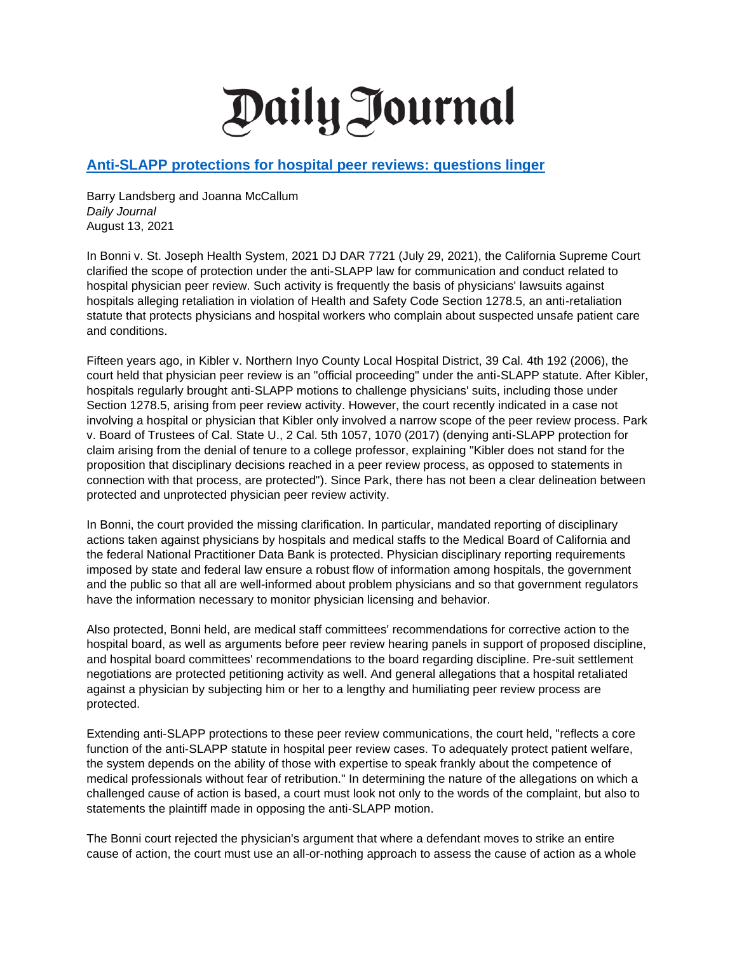## Daily Journal

## **[Anti-SLAPP protections for hospital peer reviews: questions linger](https://dailyjournal.com/articles/363858-anti-slapp-protections-for-hospital-peer-reviews-questions-linger)**

Barry Landsberg and Joanna McCallum *Daily Journal* August 13, 2021

In Bonni v. St. Joseph Health System, 2021 DJ DAR 7721 (July 29, 2021), the California Supreme Court clarified the scope of protection under the anti-SLAPP law for communication and conduct related to hospital physician peer review. Such activity is frequently the basis of physicians' lawsuits against hospitals alleging retaliation in violation of Health and Safety Code Section 1278.5, an anti-retaliation statute that protects physicians and hospital workers who complain about suspected unsafe patient care and conditions.

Fifteen years ago, in Kibler v. Northern Inyo County Local Hospital District, 39 Cal. 4th 192 (2006), the court held that physician peer review is an "official proceeding" under the anti-SLAPP statute. After Kibler, hospitals regularly brought anti-SLAPP motions to challenge physicians' suits, including those under Section 1278.5, arising from peer review activity. However, the court recently indicated in a case not involving a hospital or physician that Kibler only involved a narrow scope of the peer review process. Park v. Board of Trustees of Cal. State U., 2 Cal. 5th 1057, 1070 (2017) (denying anti-SLAPP protection for claim arising from the denial of tenure to a college professor, explaining "Kibler does not stand for the proposition that disciplinary decisions reached in a peer review process, as opposed to statements in connection with that process, are protected"). Since Park, there has not been a clear delineation between protected and unprotected physician peer review activity.

In Bonni, the court provided the missing clarification. In particular, mandated reporting of disciplinary actions taken against physicians by hospitals and medical staffs to the Medical Board of California and the federal National Practitioner Data Bank is protected. Physician disciplinary reporting requirements imposed by state and federal law ensure a robust flow of information among hospitals, the government and the public so that all are well-informed about problem physicians and so that government regulators have the information necessary to monitor physician licensing and behavior.

Also protected, Bonni held, are medical staff committees' recommendations for corrective action to the hospital board, as well as arguments before peer review hearing panels in support of proposed discipline, and hospital board committees' recommendations to the board regarding discipline. Pre-suit settlement negotiations are protected petitioning activity as well. And general allegations that a hospital retaliated against a physician by subjecting him or her to a lengthy and humiliating peer review process are protected.

Extending anti-SLAPP protections to these peer review communications, the court held, "reflects a core function of the anti-SLAPP statute in hospital peer review cases. To adequately protect patient welfare, the system depends on the ability of those with expertise to speak frankly about the competence of medical professionals without fear of retribution." In determining the nature of the allegations on which a challenged cause of action is based, a court must look not only to the words of the complaint, but also to statements the plaintiff made in opposing the anti-SLAPP motion.

The Bonni court rejected the physician's argument that where a defendant moves to strike an entire cause of action, the court must use an all-or-nothing approach to assess the cause of action as a whole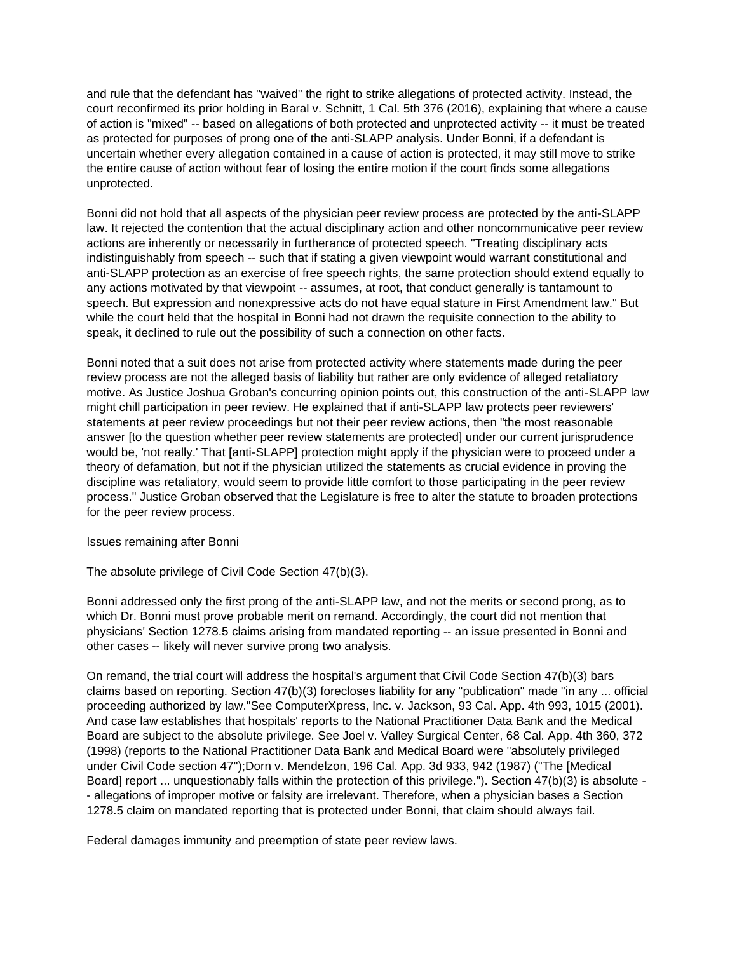and rule that the defendant has "waived" the right to strike allegations of protected activity. Instead, the court reconfirmed its prior holding in Baral v. Schnitt, 1 Cal. 5th 376 (2016), explaining that where a cause of action is "mixed" -- based on allegations of both protected and unprotected activity -- it must be treated as protected for purposes of prong one of the anti-SLAPP analysis. Under Bonni, if a defendant is uncertain whether every allegation contained in a cause of action is protected, it may still move to strike the entire cause of action without fear of losing the entire motion if the court finds some allegations unprotected.

Bonni did not hold that all aspects of the physician peer review process are protected by the anti-SLAPP law. It rejected the contention that the actual disciplinary action and other noncommunicative peer review actions are inherently or necessarily in furtherance of protected speech. "Treating disciplinary acts indistinguishably from speech -- such that if stating a given viewpoint would warrant constitutional and anti-SLAPP protection as an exercise of free speech rights, the same protection should extend equally to any actions motivated by that viewpoint -- assumes, at root, that conduct generally is tantamount to speech. But expression and nonexpressive acts do not have equal stature in First Amendment law." But while the court held that the hospital in Bonni had not drawn the requisite connection to the ability to speak, it declined to rule out the possibility of such a connection on other facts.

Bonni noted that a suit does not arise from protected activity where statements made during the peer review process are not the alleged basis of liability but rather are only evidence of alleged retaliatory motive. As Justice Joshua Groban's concurring opinion points out, this construction of the anti-SLAPP law might chill participation in peer review. He explained that if anti-SLAPP law protects peer reviewers' statements at peer review proceedings but not their peer review actions, then "the most reasonable answer [to the question whether peer review statements are protected] under our current jurisprudence would be, 'not really.' That [anti-SLAPP] protection might apply if the physician were to proceed under a theory of defamation, but not if the physician utilized the statements as crucial evidence in proving the discipline was retaliatory, would seem to provide little comfort to those participating in the peer review process." Justice Groban observed that the Legislature is free to alter the statute to broaden protections for the peer review process.

Issues remaining after Bonni

The absolute privilege of Civil Code Section 47(b)(3).

Bonni addressed only the first prong of the anti-SLAPP law, and not the merits or second prong, as to which Dr. Bonni must prove probable merit on remand. Accordingly, the court did not mention that physicians' Section 1278.5 claims arising from mandated reporting -- an issue presented in Bonni and other cases -- likely will never survive prong two analysis.

On remand, the trial court will address the hospital's argument that Civil Code Section 47(b)(3) bars claims based on reporting. Section 47(b)(3) forecloses liability for any "publication" made "in any ... official proceeding authorized by law."See ComputerXpress, Inc. v. Jackson, 93 Cal. App. 4th 993, 1015 (2001). And case law establishes that hospitals' reports to the National Practitioner Data Bank and the Medical Board are subject to the absolute privilege. See Joel v. Valley Surgical Center, 68 Cal. App. 4th 360, 372 (1998) (reports to the National Practitioner Data Bank and Medical Board were "absolutely privileged under Civil Code section 47");Dorn v. Mendelzon, 196 Cal. App. 3d 933, 942 (1987) ("The [Medical Board] report ... unquestionably falls within the protection of this privilege."). Section 47(b)(3) is absolute -- allegations of improper motive or falsity are irrelevant. Therefore, when a physician bases a Section 1278.5 claim on mandated reporting that is protected under Bonni, that claim should always fail.

Federal damages immunity and preemption of state peer review laws.